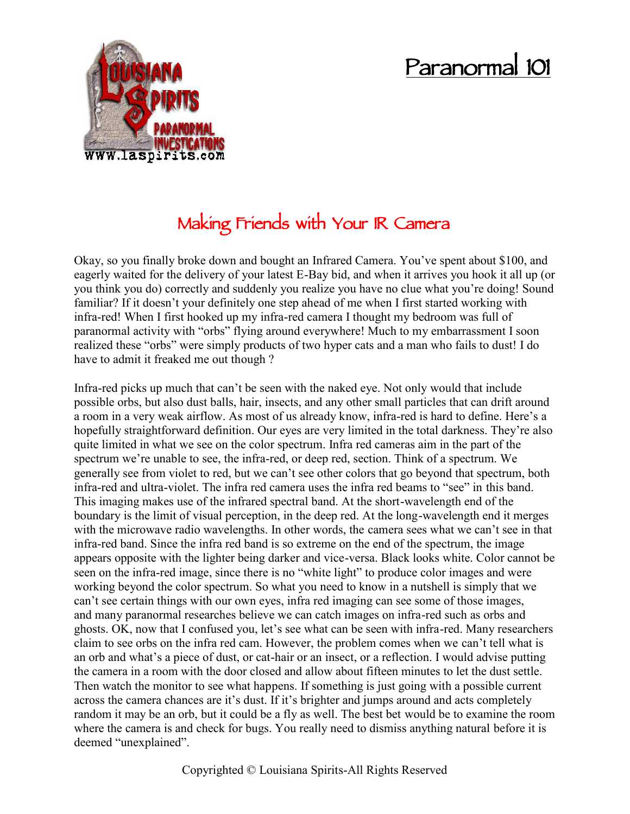## **Paranormal 101**



## **Making Friends with Your IR Camera**

Okay, so you finally broke down and bought an Infrared Camera. You've spent about \$100, and eagerly waited for the delivery of your latest E-Bay bid, and when it arrives you hook it all up (or you think you do) correctly and suddenly you realize you have no clue what you're doing! Sound familiar? If it doesn't your definitely one step ahead of me when I first started working with infra-red! When I first hooked up my infra-red camera I thought my bedroom was full of paranormal activity with "orbs" flying around everywhere! Much to my embarrassment I soon realized these "orbs" were simply products of two hyper cats and a man who fails to dust! I do have to admit it freaked me out though ?

Infra-red picks up much that can't be seen with the naked eye. Not only would that include possible orbs, but also dust balls, hair, insects, and any other small particles that can drift around a room in a very weak airflow. As most of us already know, infra-red is hard to define. Here's a hopefully straightforward definition. Our eyes are very limited in the total darkness. They're also quite limited in what we see on the color spectrum. Infra red cameras aim in the part of the spectrum we're unable to see, the infra-red, or deep red, section. Think of a spectrum. We generally see from violet to red, but we can't see other colors that go beyond that spectrum, both infra-red and ultra-violet. The infra red camera uses the infra red beams to "see" in this band. This imaging makes use of the infrared spectral band. At the short-wavelength end of the boundary is the limit of visual perception, in the deep red. At the long-wavelength end it merges with the microwave radio wavelengths. In other words, the camera sees what we can't see in that infra-red band. Since the infra red band is so extreme on the end of the spectrum, the image appears opposite with the lighter being darker and vice-versa. Black looks white. Color cannot be seen on the infra-red image, since there is no "white light" to produce color images and were working beyond the color spectrum. So what you need to know in a nutshell is simply that we can't see certain things with our own eyes, infra red imaging can see some of those images, and many paranormal researches believe we can catch images on infra-red such as orbs and ghosts. OK, now that I confused you, let's see what can be seen with infra-red. Many researchers claim to see orbs on the infra red cam. However, the problem comes when we can't tell what is an orb and what's a piece of dust, or cat-hair or an insect, or a reflection. I would advise putting the camera in a room with the door closed and allow about fifteen minutes to let the dust settle. Then watch the monitor to see what happens. If something is just going with a possible current across the camera chances are it's dust. If it's brighter and jumps around and acts completely random it may be an orb, but it could be a fly as well. The best bet would be to examine the room where the camera is and check for bugs. You really need to dismiss anything natural before it is deemed "unexplained".